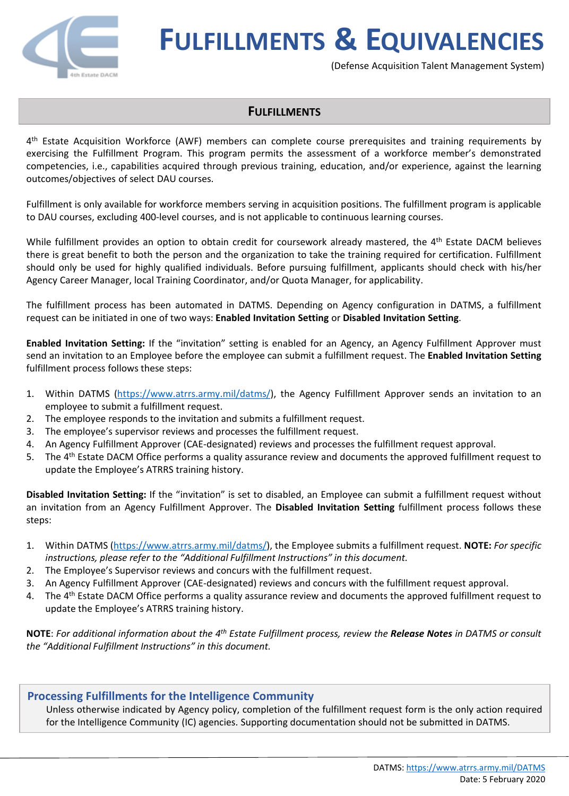

(Defense Acquisition Talent Management System)

### **FULFILLMENTS**

4 th Estate Acquisition Workforce (AWF) members can complete course prerequisites and training requirements by exercising the Fulfillment Program. This program permits the assessment of a workforce member's demonstrated competencies, i.e., capabilities acquired through previous training, education, and/or experience, against the learning outcomes/objectives of select DAU courses.

Fulfillment is only available for workforce members serving in acquisition positions. The fulfillment program is applicable to DAU courses, excluding 400-level courses, and is not applicable to continuous learning courses.

While fulfillment provides an option to obtain credit for coursework already mastered, the 4<sup>th</sup> Estate DACM believes there is great benefit to both the person and the organization to take the training required for certification. Fulfillment should only be used for highly qualified individuals. Before pursuing fulfillment, applicants should check with his/her Agency Career Manager, local Training Coordinator, and/or Quota Manager, for applicability.

The fulfillment process has been automated in DATMS. Depending on Agency configuration in DATMS, a fulfillment request can be initiated in one of two ways: **Enabled Invitation Setting** or **Disabled Invitation Setting**.

**Enabled Invitation Setting:** If the "invitation" setting is enabled for an Agency, an Agency Fulfillment Approver must send an invitation to an Employee before the employee can submit a fulfillment request. The **Enabled Invitation Setting** fulfillment process follows these steps:

- 1. Within DATMS [\(https://www.atrrs.army.mil/datms/\)](https://www.atrrs.army.mil/datms/), the Agency Fulfillment Approver sends an invitation to an employee to submit a fulfillment request.
- 2. The employee responds to the invitation and submits a fulfillment request.
- 3. The employee's supervisor reviews and processes the fulfillment request.
- 4. An Agency Fulfillment Approver (CAE-designated) reviews and processes the fulfillment request approval.
- 5. The 4<sup>th</sup> Estate DACM Office performs a quality assurance review and documents the approved fulfillment request to update the Employee's ATRRS training history.

**Disabled Invitation Setting:** If the "invitation" is set to disabled, an Employee can submit a fulfillment request without an invitation from an Agency Fulfillment Approver. The **Disabled Invitation Setting** fulfillment process follows these steps:

- 1. Within DATMS (<https://www.atrrs.army.mil/datms/>), the Employee submits a fulfillment request. **NOTE:** *For specific instructions, please refer to the "Additional Fulfillment Instructions" in this document.*
- 2. The Employee's Supervisor reviews and concurs with the fulfillment request.
- 3. An Agency Fulfillment Approver (CAE-designated) reviews and concurs with the fulfillment request approval.
- 4. The 4<sup>th</sup> Estate DACM Office performs a quality assurance review and documents the approved fulfillment request to update the Employee's ATRRS training history.

NOTE: For additional information about the 4<sup>th</sup> Estate Fulfillment process, review the Release Notes in DATMS or consult *the "Additional Fulfillment Instructions" in this document.*

### **Processing Fulfillments for the Intelligence Community**

Unless otherwise indicated by Agency policy, completion of the fulfillment request form is the only action required for the Intelligence Community (IC) agencies. Supporting documentation should not be submitted in DATMS.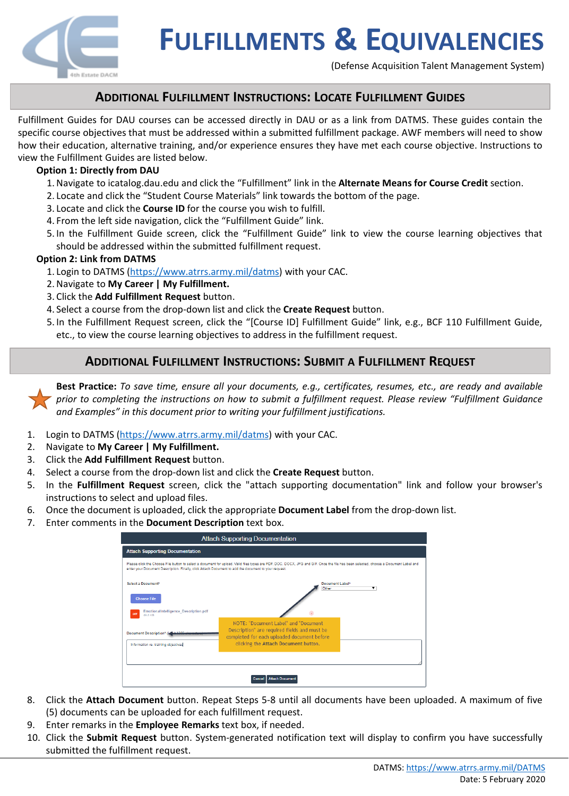

(Defense Acquisition Talent Management System)

## **ADDITIONAL FULFILLMENT INSTRUCTIONS: LOCATE FULFILLMENT GUIDES**

Fulfillment Guides for DAU courses can be accessed directly in DAU or as a link from DATMS. These guides contain the specific course objectives that must be addressed within a submitted fulfillment package. AWF members will need to show how their education, alternative training, and/or experience ensures they have met each course objective. Instructions to view the Fulfillment Guides are listed below.

#### **Option 1: Directly from DAU**

- 1.Navigate to icatalog.dau.edu and click the "Fulfillment" link in the **Alternate Means for Course Credit** section.
- 2. Locate and click the "Student Course Materials" link towards the bottom of the page.
- 3. Locate and click the **Course ID** for the course you wish to fulfill.
- 4. From the left side navigation, click the "Fulfillment Guide" link.
- 5. In the Fulfillment Guide screen, click the "Fulfillment Guide" link to view the course learning objectives that should be addressed within the submitted fulfillment request.

#### **Option 2: Link from DATMS**

- 1. Login to DATMS (<https://www.atrrs.army.mil/datms>) with your CAC.
- 2.Navigate to **My Career | My Fulfillment.**
- 3. Click the **Add Fulfillment Request** button.
- 4. Select a course from the drop-down list and click the **Create Request** button.
- 5. In the Fulfillment Request screen, click the "[Course ID] Fulfillment Guide" link, e.g., BCF 110 Fulfillment Guide, etc., to view the course learning objectives to address in the fulfillment request.

## **ADDITIONAL FULFILLMENT INSTRUCTIONS: SUBMIT A FULFILLMENT REQUEST**

Best Practice: To save time, ensure all your documents, e.g., certificates, resumes, etc., are ready and available *prior to completing the instructions on how to submit a fulfillment request. Please review "Fulfillment Guidance and Examples" in this document prior to writing your fulfillment justifications.*

- 1. Login to DATMS (<https://www.atrrs.army.mil/datms>) with your CAC.
- 2. Navigate to **My Career | My Fulfillment.**
- 3. Click the **Add Fulfillment Request** button.
- 4. Select a course from the drop-down list and click the **Create Request** button.
- 5. In the **Fulfillment Request** screen, click the "attach supporting documentation" link and follow your browser's instructions to select and upload files.
- 6. Once the document is uploaded, click the appropriate **Document Label** from the drop-down list.
- 7. Enter comments in the **Document Description** text box.

| <b>Attach Supporting Documentation</b>                                                               |                                                                                                                                                                                      |
|------------------------------------------------------------------------------------------------------|--------------------------------------------------------------------------------------------------------------------------------------------------------------------------------------|
| <b>Attach Supporting Documentation</b>                                                               |                                                                                                                                                                                      |
| enter your Document Description. Finally, click Attach Document to add the document to your request. | Please click the Choose File button to select a document for upload. Valid files types are PDF, DOC, DOCX, JPG and GIF. Once the file has been selected, choose a Document Label and |
| Select a Documents                                                                                   | Document Label*<br>Other<br>▼                                                                                                                                                        |
| <b>Choose File</b>                                                                                   |                                                                                                                                                                                      |
| <b>EmotionalIntelligence_Description.pdf</b><br>49.8 KB                                              | NOTE: "Document Label" and "Document                                                                                                                                                 |
| <b>Document Description* (kg</b>                                                                     | Description" are required fields and must be<br>completed for each uploaded document before                                                                                          |
| Information re: training objectives                                                                  | clicking the Attach Document button.                                                                                                                                                 |
|                                                                                                      |                                                                                                                                                                                      |
| <b>Attach Document</b>                                                                               |                                                                                                                                                                                      |

- 8. Click the **Attach Document** button. Repeat Steps 5-8 until all documents have been uploaded. A maximum of five (5) documents can be uploaded for each fulfillment request.
- 9. Enter remarks in the **Employee Remarks** text box, if needed.
- 10. Click the **Submit Request** button. System-generated notification text will display to confirm you have successfully submitted the fulfillment request.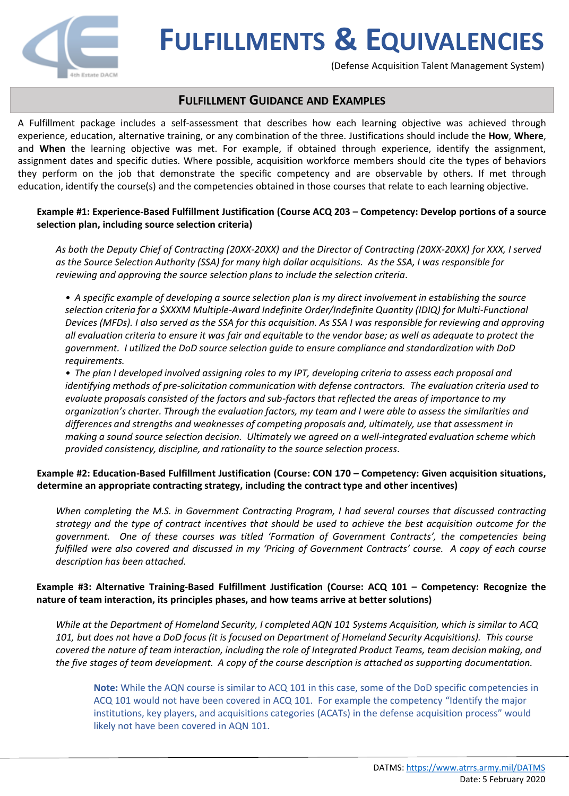

(Defense Acquisition Talent Management System)

### **FULFILLMENT GUIDANCE AND EXAMPLES**

A Fulfillment package includes a self-assessment that describes how each learning objective was achieved through experience, education, alternative training, or any combination of the three. Justifications should include the **How**, **Where**, and **When** the learning objective was met. For example, if obtained through experience, identify the assignment, assignment dates and specific duties. Where possible, acquisition workforce members should cite the types of behaviors they perform on the job that demonstrate the specific competency and are observable by others. If met through education, identify the course(s) and the competencies obtained in those courses that relate to each learning objective.

### **Example #1: Experience-Based Fulfillment Justification (Course ACQ 203 – Competency: Develop portions of a source selection plan, including source selection criteria)**

*As both the Deputy Chief of Contracting (20XX-20XX) and the Director of Contracting (20XX-20XX) for XXX, I served as the Source Selection Authority (SSA) for many high dollar acquisitions. As the SSA, I was responsible for reviewing and approving the source selection plans to include the selection criteria.*

*• A specific example of developing a source selection plan is my direct involvement in establishing the source selection criteria for a \$XXXM Multiple-Award Indefinite Order/Indefinite Quantity (IDIQ) for Multi-Functional Devices (MFDs). I also served as the SSA for this acquisition. As SSA I was responsible for reviewing and approving all evaluation criteria to ensure it was fair and equitable to the vendor base; as well as adequate to protect the government. I utilized the DoD source selection guide to ensure compliance and standardization with DoD requirements.* 

*• The plan I developed involved assigning roles to my IPT, developing criteria to assess each proposal and identifying methods of pre-solicitation communication with defense contractors. The evaluation criteria used to evaluate proposals consisted of the factors and sub-factors that reflected the areas of importance to my organization's charter. Through the evaluation factors, my team and I were able to assess the similarities and differences and strengths and weaknesses of competing proposals and, ultimately, use that assessment in making a sound source selection decision. Ultimately we agreed on a well-integrated evaluation scheme which provided consistency, discipline, and rationality to the source selection process.*

### **Example #2: Education-Based Fulfillment Justification (Course: CON 170 – Competency: Given acquisition situations, determine an appropriate contracting strategy, including the contract type and other incentives)**

*When completing the M.S. in Government Contracting Program, I had several courses that discussed contracting* strategy and the type of contract incentives that should be used to achieve the best acquisition outcome for the *government. One of these courses was titled 'Formation of Government Contracts', the competencies being* fulfilled were also covered and discussed in my 'Pricing of Government Contracts' course. A copy of each course *description has been attached.*

### **Example #3: Alternative Training-Based Fulfillment Justification (Course: ACQ 101 – Competency: Recognize the nature of team interaction, its principles phases, and how teams arrive at better solutions)**

*While at the Department of Homeland Security, I completed AQN 101 Systems Acquisition, which is similar to ACQ 101, but does not have a DoD focus (it is focused on Department of Homeland Security Acquisitions). This course covered the nature of team interaction, including the role of Integrated Product Teams, team decision making, and the five stages of team development. A copy of the course description is attached as supporting documentation.*

**Note:** While the AQN course is similar to ACQ 101 in this case, some of the DoD specific competencies in ACQ 101 would not have been covered in ACQ 101. For example the competency "Identify the major institutions, key players, and acquisitions categories (ACATs) in the defense acquisition process" would likely not have been covered in AQN 101.